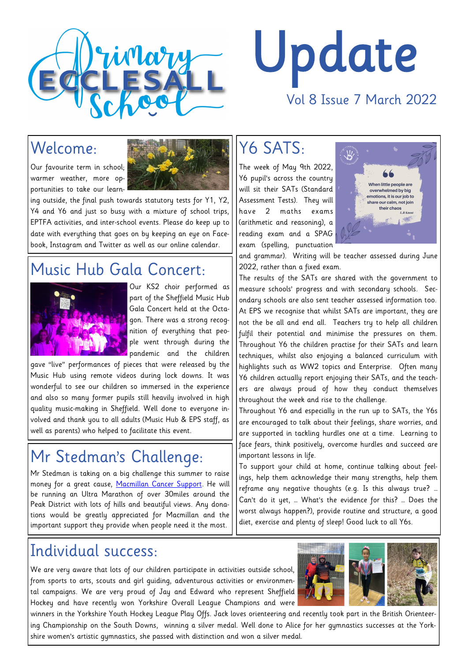

# Update Vol 8 Issue 7 March 2022

## Welcome:

Our favourite term in school; warmer weather, more opportunities to take our learn-



ing outside, the final push towards statutory tests for Y1, Y2, Y4 and Y6 and just so busy with a mixture of school trips, EPTFA activities, and inter-school events. Please do keep up to date with everything that goes on by keeping an eye on Facebook, Instagram and Twitter as well as our online calendar.

#### Music Hub Gala Concert:



Our KS2 choir performed as part of the Sheffield Music Hub Gala Concert held at the Octagon. There was a strong recognition of everything that people went through during the pandemic and the children

gave "live" performances of pieces that were released by the Music Hub using remote videos during lock downs. It was wonderful to see our children so immersed in the experience and also so many former pupils still heavily involved in high quality music-making in Sheffield. Well done to everyone involved and thank you to all adults (Music Hub & EPS staff, as well as parents) who helped to facilitate this event.

## Mr Stedman's Challenge:

Mr Stedman is taking on a big challenge this summer to raise money for a great cause, [Macmillan Cancer Support.](https://www.justgiving.com/fundraising/alistairstedman) He will be running an Ultra Marathon of over 30miles around the Peak District with lots of hills and beautiful views. Any donations would be greatly appreciated for Macmillan and the important support they provide when people need it the most.

### Individual success:

We are very aware that lots of our children participate in activities outside school, from sports to arts, scouts and girl guiding, adventurous activities or environmental campaigns. We are very proud of Jay and Edward who represent Sheffield Hockey and have recently won Yorkshire Overall League Champions and were

winners in the Yorkshire Youth Hockey League Play Offs. Jack loves orienteering and recently took part in the British Orienteering Championship on the South Downs, winning a silver medal. Well done to Alice for her gymnastics successes at the Yorkshire women's artistic gymnastics, she passed with distinction and won a silver medal.

### Y6 SATS:

The week of May 9th 2022, Y6 pupil's across the country will sit their SATs (Standard Assessment Tests). They will have 2 maths exams (arithmetic and reasoning), a reading exam and a SPAG exam (spelling, punctuation



and grammar). Writing will be teacher assessed during June 2022, rather than a fixed exam.

The results of the SATs are shared with the government to measure schools' progress and with secondary schools. Secondary schools are also sent teacher assessed information too. At EPS we recognise that whilst SATs are important, they are not the be all and end all. Teachers try to help all children fulfil their potential and minimise the pressures on them. Throughout Y6 the children practise for their SATs and learn techniques, whilst also enjoying a balanced curriculum with highlights such as WW2 topics and Enterprise. Often many Y6 children actually report enjoying their SATs, and the teachers are always proud of how they conduct themselves throughout the week and rise to the challenge.

Throughout Y6 and especially in the run up to SATs, the Y6s are encouraged to talk about their feelings, share worries, and are supported in tackling hurdles one at a time. Learning to face fears, think positively, overcome hurdles and succeed are important lessons in life.

To support your child at home, continue talking about feelings, help them acknowledge their many strengths, help them reframe any negative thoughts (e.g. Is this always true? … Can't do it yet, … What's the evidence for this? … Does the worst always happen?), provide routine and structure, a good diet, exercise and plenty of sleep! Good luck to all Y6s.